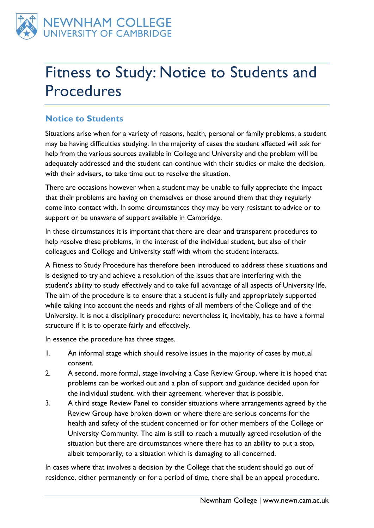

# Fitness to Study: Notice to Students and Procedures

## **Notice to Students**

Situations arise when for a variety of reasons, health, personal or family problems, a student may be having difficulties studying. In the majority of cases the student affected will ask for help from the various sources available in College and University and the problem will be adequately addressed and the student can continue with their studies or make the decision, with their advisers, to take time out to resolve the situation.

There are occasions however when a student may be unable to fully appreciate the impact that their problems are having on themselves or those around them that they regularly come into contact with. In some circumstances they may be very resistant to advice or to support or be unaware of support available in Cambridge.

In these circumstances it is important that there are clear and transparent procedures to help resolve these problems, in the interest of the individual student, but also of their colleagues and College and University staff with whom the student interacts.

A Fitness to Study Procedure has therefore been introduced to address these situations and is designed to try and achieve a resolution of the issues that are interfering with the student's ability to study effectively and to take full advantage of all aspects of University life. The aim of the procedure is to ensure that a student is fully and appropriately supported while taking into account the needs and rights of all members of the College and of the University. It is not a disciplinary procedure: nevertheless it, inevitably, has to have a formal structure if it is to operate fairly and effectively.

In essence the procedure has three stages.

- 1. An informal stage which should resolve issues in the majority of cases by mutual consent.
- 2. A second, more formal, stage involving a Case Review Group, where it is hoped that problems can be worked out and a plan of support and guidance decided upon for the individual student, with their agreement, wherever that is possible.
- 3. A third stage Review Panel to consider situations where arrangements agreed by the Review Group have broken down or where there are serious concerns for the health and safety of the student concerned or for other members of the College or University Community. The aim is still to reach a mutually agreed resolution of the situation but there are circumstances where there has to an ability to put a stop, albeit temporarily, to a situation which is damaging to all concerned.

In cases where that involves a decision by the College that the student should go out of residence, either permanently or for a period of time, there shall be an appeal procedure.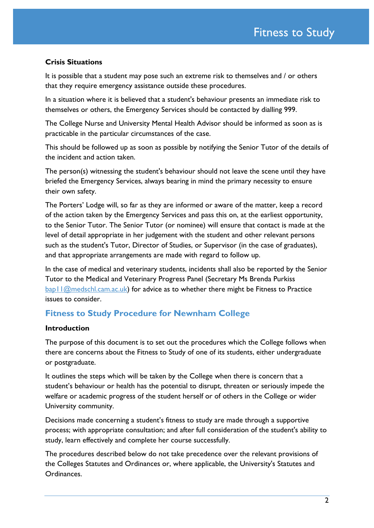#### **Crisis Situations**

It is possible that a student may pose such an extreme risk to themselves and / or others that they require emergency assistance outside these procedures.

In a situation where it is believed that a student's behaviour presents an immediate risk to themselves or others, the Emergency Services should be contacted by dialling 999.

The College Nurse and University Mental Health Advisor should be informed as soon as is practicable in the particular circumstances of the case.

This should be followed up as soon as possible by notifying the Senior Tutor of the details of the incident and action taken.

The person(s) witnessing the student's behaviour should not leave the scene until they have briefed the Emergency Services, always bearing in mind the primary necessity to ensure their own safety.

The Porters' Lodge will, so far as they are informed or aware of the matter, keep a record of the action taken by the Emergency Services and pass this on, at the earliest opportunity, to the Senior Tutor. The Senior Tutor (or nominee) will ensure that contact is made at the level of detail appropriate in her judgement with the student and other relevant persons such as the student's Tutor, Director of Studies, or Supervisor (in the case of graduates), and that appropriate arrangements are made with regard to follow up.

In the case of medical and veterinary students, incidents shall also be reported by the Senior Tutor to the Medical and Veterinary Progress Panel (Secretary Ms Brenda Purkiss [bap11@medschl.cam.ac.uk\)](mailto:bap11@medschl.cam.ac.uk) for advice as to whether there might be Fitness to Practice issues to consider.

## **Fitness to Study Procedure for Newnham College**

#### **Introduction**

The purpose of this document is to set out the procedures which the College follows when there are concerns about the Fitness to Study of one of its students, either undergraduate or postgraduate.

It outlines the steps which will be taken by the College when there is concern that a student's behaviour or health has the potential to disrupt, threaten or seriously impede the welfare or academic progress of the student herself or of others in the College or wider University community.

Decisions made concerning a student's fitness to study are made through a supportive process; with appropriate consultation; and after full consideration of the student's ability to study, learn effectively and complete her course successfully.

The procedures described below do not take precedence over the relevant provisions of the Colleges Statutes and Ordinances or, where applicable, the University's Statutes and Ordinances.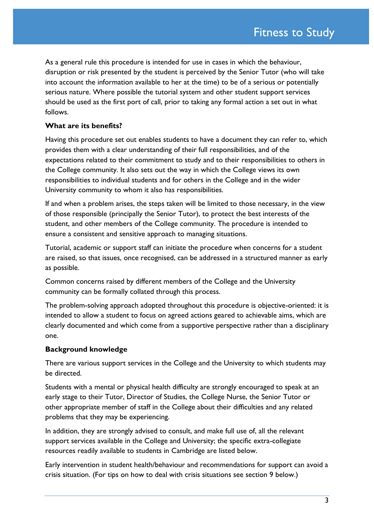As a general rule this procedure is intended for use in cases in which the behaviour, disruption or risk presented by the student is perceived by the Senior Tutor (who will take into account the information available to her at the time) to be of a serious or potentially serious nature. Where possible the tutorial system and other student support services should be used as the first port of call, prior to taking any formal action a set out in what follows.

#### **What are its benefits?**

Having this procedure set out enables students to have a document they can refer to, which provides them with a clear understanding of their full responsibilities, and of the expectations related to their commitment to study and to their responsibilities to others in the College community. It also sets out the way in which the College views its own responsibilities to individual students and for others in the College and in the wider University community to whom it also has responsibilities.

If and when a problem arises, the steps taken will be limited to those necessary, in the view of those responsible (principally the Senior Tutor), to protect the best interests of the student, and other members of the College community. The procedure is intended to ensure a consistent and sensitive approach to managing situations.

Tutorial, academic or support staff can initiate the procedure when concerns for a student are raised, so that issues, once recognised, can be addressed in a structured manner as early as possible.

Common concerns raised by different members of the College and the University community can be formally collated through this process.

The problem-solving approach adopted throughout this procedure is objective-oriented: it is intended to allow a student to focus on agreed actions geared to achievable aims, which are clearly documented and which come from a supportive perspective rather than a disciplinary one.

#### **Background knowledge**

There are various support services in the College and the University to which students may be directed.

Students with a mental or physical health difficulty are strongly encouraged to speak at an early stage to their Tutor, Director of Studies, the College Nurse, the Senior Tutor or other appropriate member of staff in the College about their difficulties and any related problems that they may be experiencing.

In addition, they are strongly advised to consult, and make full use of, all the relevant support services available in the College and University; the specific extra-collegiate resources readily available to students in Cambridge are listed below.

Early intervention in student health/behaviour and recommendations for support can avoid a crisis situation. (For tips on how to deal with crisis situations see section 9 below.)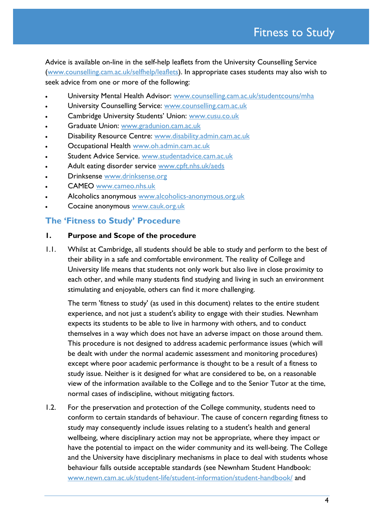Advice is available on-line in the self-help leaflets from the University Counselling Service [\(www.counselling.cam.ac.uk/selfhelp/leaflets\)](http://www.counselling.cam.ac.uk/selfhelp/leaflets). In appropriate cases students may also wish to seek advice from one or more of the following:

- University Mental Health Advisor: [www.counselling.cam.ac.uk/studentcouns/mha](http://www.counselling.cam.ac.uk/studentcouns/mha)
- University Counselling Service: [www.counselling.cam.ac.uk](http://www.counselling.cam.ac.uk/)
- Cambridge University Students' Union: [www.cusu.co.uk](http://www.cusu.co.uk/)
- Graduate Union: [www.gradunion.cam.ac.uk](http://www.gradunion.cam.ac.uk/)
- Disability Resource Centre: [www.disability.admin.cam.ac.uk](http://www.disability.admin.cam.ac.uk/)
- Occupational Health [www.oh.admin.cam.ac.uk](http://www.oh.admin.cam.ac.uk/)
- Student Advice Service. [www.studentadvice.cam.ac.uk](http://www.studentadvice.cam.ac.uk/)
- Adult eating disorder service [www.cpft.nhs.uk/aeds](http://www.cpft.nhs.uk/aeds)
- Drinksense [www.drinksense.org](http://www.drinksense.org/)
- CAMEO [www.cameo.nhs.uk](http://www.cameo.nhs.uk/)
- Alcoholics anonymous [www.alcoholics-anonymous.org.uk](http://www.alcoholics-anonymous.org.uk/)
- Cocaine anonymous [www.cauk.org.uk](http://www.cauk.org.uk/)

#### **The 'Fitness to Study' Procedure**

#### **1. Purpose and Scope of the procedure**

1.1. Whilst at Cambridge, all students should be able to study and perform to the best of their ability in a safe and comfortable environment. The reality of College and University life means that students not only work but also live in close proximity to each other, and while many students find studying and living in such an environment stimulating and enjoyable, others can find it more challenging.

The term 'fitness to study' (as used in this document) relates to the entire student experience, and not just a student's ability to engage with their studies. Newnham expects its students to be able to live in harmony with others, and to conduct themselves in a way which does not have an adverse impact on those around them. This procedure is not designed to address academic performance issues (which will be dealt with under the normal academic assessment and monitoring procedures) except where poor academic performance is thought to be a result of a fitness to study issue. Neither is it designed for what are considered to be, on a reasonable view of the information available to the College and to the Senior Tutor at the time, normal cases of indiscipline, without mitigating factors.

1.2. For the preservation and protection of the College community, students need to conform to certain standards of behaviour. The cause of concern regarding fitness to study may consequently include issues relating to a student's health and general wellbeing, where disciplinary action may not be appropriate, where they impact or have the potential to impact on the wider community and its well-being. The College and the University have disciplinary mechanisms in place to deal with students whose behaviour falls outside acceptable standards (see Newnham Student Handbook: [www.newn.cam.ac.uk/student-life/student-information/student-handbook/](http://www.newn.cam.ac.uk/student-life/student-information/student-handbook/) and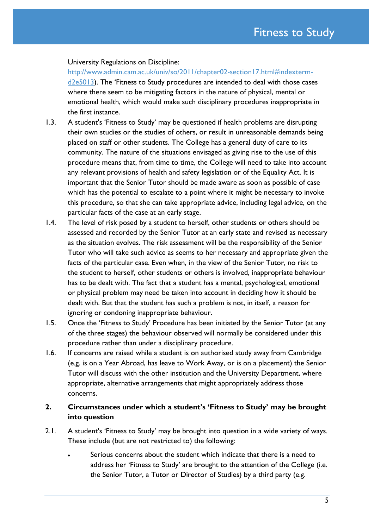#### University Regulations on Discipline:

[http://www.admin.cam.ac.uk/univ/so/2011/chapter02-section17.html#indexterm](http://www.admin.cam.ac.uk/univ/so/2011/chapter02-section17.html#indexterm-d2e5013)[d2e5013](http://www.admin.cam.ac.uk/univ/so/2011/chapter02-section17.html#indexterm-d2e5013)). The 'Fitness to Study procedures are intended to deal with those cases where there seem to be mitigating factors in the nature of physical, mental or emotional health, which would make such disciplinary procedures inappropriate in the first instance.

- 1.3. A student's 'Fitness to Study' may be questioned if health problems are disrupting their own studies or the studies of others, or result in unreasonable demands being placed on staff or other students. The College has a general duty of care to its community. The nature of the situations envisaged as giving rise to the use of this procedure means that, from time to time, the College will need to take into account any relevant provisions of health and safety legislation or of the Equality Act. It is important that the Senior Tutor should be made aware as soon as possible of case which has the potential to escalate to a point where it might be necessary to invoke this procedure, so that she can take appropriate advice, including legal advice, on the particular facts of the case at an early stage.
- 1.4. The level of risk posed by a student to herself, other students or others should be assessed and recorded by the Senior Tutor at an early state and revised as necessary as the situation evolves. The risk assessment will be the responsibility of the Senior Tutor who will take such advice as seems to her necessary and appropriate given the facts of the particular case. Even when, in the view of the Senior Tutor, no risk to the student to herself, other students or others is involved, inappropriate behaviour has to be dealt with. The fact that a student has a mental, psychological, emotional or physical problem may need be taken into account in deciding how it should be dealt with. But that the student has such a problem is not, in itself, a reason for ignoring or condoning inappropriate behaviour.
- 1.5. Once the 'Fitness to Study' Procedure has been initiated by the Senior Tutor (at any of the three stages) the behaviour observed will normally be considered under this procedure rather than under a disciplinary procedure.
- 1.6. If concerns are raised while a student is on authorised study away from Cambridge (e.g. is on a Year Abroad, has leave to Work Away, or is on a placement) the Senior Tutor will discuss with the other institution and the University Department, where appropriate, alternative arrangements that might appropriately address those concerns.

#### **2. Circumstances under which a student's 'Fitness to Study' may be brought into question**

- 2.1. A student's 'Fitness to Study' may be brought into question in a wide variety of ways. These include (but are not restricted to) the following:
	- Serious concerns about the student which indicate that there is a need to address her 'Fitness to Study' are brought to the attention of the College (i.e. the Senior Tutor, a Tutor or Director of Studies) by a third party (e.g.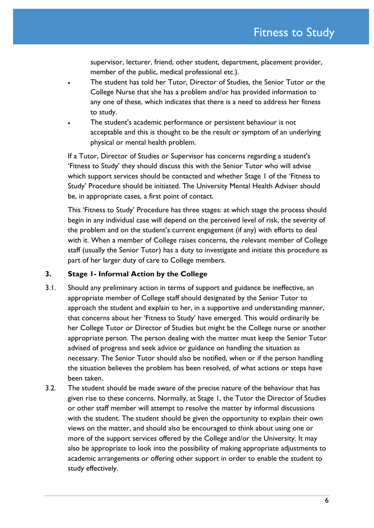supervisor, lecturer, friend, other student, department, placement provider, member of the public, medical professional etc.).

- The student has told her Tutor, Director of Studies, the Senior Tutor or the College Nurse that she has a problem and/or has provided information to any one of these, which indicates that there is a need to address her fitness to study.
- The student's academic performance or persistent behaviour is not acceptable and this is thought to be the result or symptom of an underlying physical or mental health problem.

If a Tutor, Director of Studies or Supervisor has concerns regarding a student's 'Fitness to Study' they should discuss this with the Senior Tutor who will advise which support services should be contacted and whether Stage 1 of the 'Fitness to Study' Procedure should be initiated. The University Mental Health Adviser should be, in appropriate cases, a first point of contact.

This 'Fitness to Study' Procedure has three stages: at which stage the process should begin in any individual case will depend on the perceived level of risk, the severity of the problem and on the student's current engagement (if any) with efforts to deal with it. When a member of College raises concerns, the relevant member of College staff (usually the Senior Tutor) has a duty to investigate and initiate this procedure as part of her larger duty of care to College members.

#### **3. Stage 1- Informal Action by the College**

- 3.1. Should any preliminary action in terms of support and guidance be ineffective, an appropriate member of College staff should designated by the Senior Tutor to approach the student and explain to her, in a supportive and understanding manner, that concerns about her 'Fitness to Study' have emerged. This would ordinarily be her College Tutor or Director of Studies but might be the College nurse or another appropriate person. The person dealing with the matter must keep the Senior Tutor advised of progress and seek advice or guidance on handling the situation as necessary. The Senior Tutor should also be notified, when or if the person handling the situation believes the problem has been resolved, of what actions or steps have been taken.
- 3.2. The student should be made aware of the precise nature of the behaviour that has given rise to these concerns. Normally, at Stage 1, the Tutor the Director of Studies or other staff member will attempt to resolve the matter by informal discussions with the student. The student should be given the opportunity to explain their own views on the matter, and should also be encouraged to think about using one or more of the support services offered by the College and/or the University. It may also be appropriate to look into the possibility of making appropriate adjustments to academic arrangements or offering other support in order to enable the student to study effectively.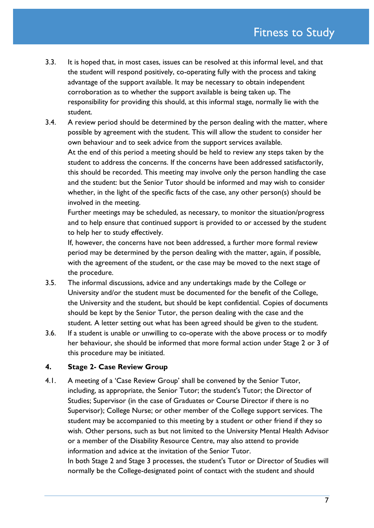- 3.3. It is hoped that, in most cases, issues can be resolved at this informal level, and that the student will respond positively, co-operating fully with the process and taking advantage of the support available. It may be necessary to obtain independent corroboration as to whether the support available is being taken up. The responsibility for providing this should, at this informal stage, normally lie with the student.
- 3.4. A review period should be determined by the person dealing with the matter, where possible by agreement with the student. This will allow the student to consider her own behaviour and to seek advice from the support services available. At the end of this period a meeting should be held to review any steps taken by the student to address the concerns. If the concerns have been addressed satisfactorily, this should be recorded. This meeting may involve only the person handling the case and the student: but the Senior Tutor should be informed and may wish to consider whether, in the light of the specific facts of the case, any other person(s) should be involved in the meeting.

Further meetings may be scheduled, as necessary, to monitor the situation/progress and to help ensure that continued support is provided to or accessed by the student to help her to study effectively.

If, however, the concerns have not been addressed, a further more formal review period may be determined by the person dealing with the matter, again, if possible, with the agreement of the student, or the case may be moved to the next stage of the procedure.

- 3.5. The informal discussions, advice and any undertakings made by the College or University and/or the student must be documented for the benefit of the College, the University and the student, but should be kept confidential. Copies of documents should be kept by the Senior Tutor, the person dealing with the case and the student. A letter setting out what has been agreed should be given to the student.
- 3.6. If a student is unable or unwilling to co-operate with the above process or to modify her behaviour, she should be informed that more formal action under Stage 2 or 3 of this procedure may be initiated.

#### **4. Stage 2- Case Review Group**

4.1. A meeting of a 'Case Review Group' shall be convened by the Senior Tutor, including, as appropriate, the Senior Tutor; the student's Tutor; the Director of Studies; Supervisor (in the case of Graduates or Course Director if there is no Supervisor); College Nurse; or other member of the College support services. The student may be accompanied to this meeting by a student or other friend if they so wish. Other persons, such as but not limited to the University Mental Health Advisor or a member of the Disability Resource Centre, may also attend to provide information and advice at the invitation of the Senior Tutor.

In both Stage 2 and Stage 3 processes, the student's Tutor or Director of Studies will normally be the College-designated point of contact with the student and should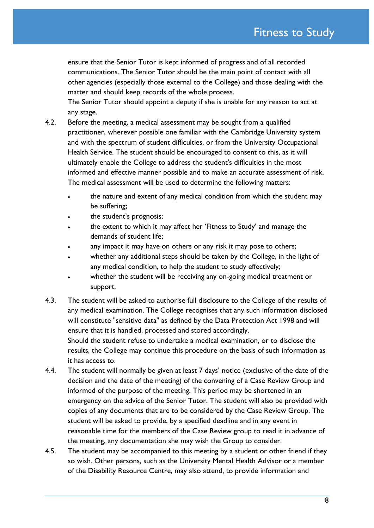ensure that the Senior Tutor is kept informed of progress and of all recorded communications. The Senior Tutor should be the main point of contact with all other agencies (especially those external to the College) and those dealing with the matter and should keep records of the whole process.

The Senior Tutor should appoint a deputy if she is unable for any reason to act at any stage.

- 4.2. Before the meeting, a medical assessment may be sought from a qualified practitioner, wherever possible one familiar with the Cambridge University system and with the spectrum of student difficulties, or from the University Occupational Health Service. The student should be encouraged to consent to this, as it will ultimately enable the College to address the student's difficulties in the most informed and effective manner possible and to make an accurate assessment of risk. The medical assessment will be used to determine the following matters:
	- the nature and extent of any medical condition from which the student may be suffering;
	- the student's prognosis;
	- the extent to which it may affect her 'Fitness to Study' and manage the demands of student life;
	- any impact it may have on others or any risk it may pose to others;
	- whether any additional steps should be taken by the College, in the light of any medical condition, to help the student to study effectively;
	- whether the student will be receiving any on-going medical treatment or support.
- 4.3. The student will be asked to authorise full disclosure to the College of the results of any medical examination. The College recognises that any such information disclosed will constitute "sensitive data" as defined by the Data Protection Act 1998 and will ensure that it is handled, processed and stored accordingly. Should the student refuse to undertake a medical examination, or to disclose the results, the College may continue this procedure on the basis of such information as it has access to.
- 4.4. The student will normally be given at least 7 days' notice (exclusive of the date of the decision and the date of the meeting) of the convening of a Case Review Group and informed of the purpose of the meeting. This period may be shortened in an emergency on the advice of the Senior Tutor. The student will also be provided with copies of any documents that are to be considered by the Case Review Group. The student will be asked to provide, by a specified deadline and in any event in reasonable time for the members of the Case Review group to read it in advance of the meeting, any documentation she may wish the Group to consider.
- 4.5. The student may be accompanied to this meeting by a student or other friend if they so wish. Other persons, such as the University Mental Health Advisor or a member of the Disability Resource Centre, may also attend, to provide information and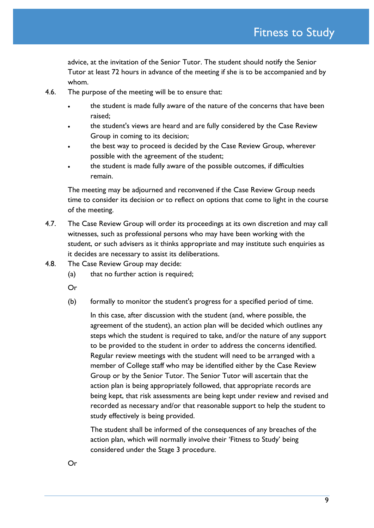advice, at the invitation of the Senior Tutor. The student should notify the Senior Tutor at least 72 hours in advance of the meeting if she is to be accompanied and by whom.

- 4.6. The purpose of the meeting will be to ensure that:
	- the student is made fully aware of the nature of the concerns that have been raised;
	- the student's views are heard and are fully considered by the Case Review Group in coming to its decision;
	- the best way to proceed is decided by the Case Review Group, wherever possible with the agreement of the student;
	- the student is made fully aware of the possible outcomes, if difficulties remain.

The meeting may be adjourned and reconvened if the Case Review Group needs time to consider its decision or to reflect on options that come to light in the course of the meeting.

- 4.7. The Case Review Group will order its proceedings at its own discretion and may call witnesses, such as professional persons who may have been working with the student, or such advisers as it thinks appropriate and may institute such enquiries as it decides are necessary to assist its deliberations.
- 4.8. The Case Review Group may decide:
	- (a) that no further action is required;
	- Or
	- (b) formally to monitor the student's progress for a specified period of time.

In this case, after discussion with the student (and, where possible, the agreement of the student), an action plan will be decided which outlines any steps which the student is required to take, and/or the nature of any support to be provided to the student in order to address the concerns identified. Regular review meetings with the student will need to be arranged with a member of College staff who may be identified either by the Case Review Group or by the Senior Tutor. The Senior Tutor will ascertain that the action plan is being appropriately followed, that appropriate records are being kept, that risk assessments are being kept under review and revised and recorded as necessary and/or that reasonable support to help the student to study effectively is being provided.

The student shall be informed of the consequences of any breaches of the action plan, which will normally involve their 'Fitness to Study' being considered under the Stage 3 procedure.

Or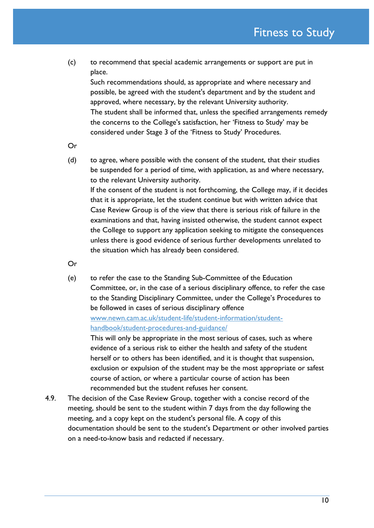Fitness to Study

(c) to recommend that special academic arrangements or support are put in place.

Such recommendations should, as appropriate and where necessary and possible, be agreed with the student's department and by the student and approved, where necessary, by the relevant University authority. The student shall be informed that, unless the specified arrangements remedy the concerns to the College's satisfaction, her 'Fitness to Study' may be considered under Stage 3 of the 'Fitness to Study' Procedures.

Or

(d) to agree, where possible with the consent of the student, that their studies be suspended for a period of time, with application, as and where necessary, to the relevant University authority. If the consent of the student is not forthcoming, the College may, if it decides that it is appropriate, let the student continue but with written advice that Case Review Group is of the view that there is serious risk of failure in the examinations and that, having insisted otherwise, the student cannot expect the College to support any application seeking to mitigate the consequences unless there is good evidence of serious further developments unrelated to the situation which has already been considered.

Or

(e) to refer the case to the Standing Sub-Committee of the Education Committee, or, in the case of a serious disciplinary offence, to refer the case to the Standing Disciplinary Committee, under the College's Procedures to be followed in cases of serious disciplinary offence [www.newn.cam.ac.uk/student-life/student-information/student](http://www.newn.cam.ac.uk/student-life/student-information/student-handbook/student-procedures-and-guidance/)[handbook/student-procedures-and-guidance/](http://www.newn.cam.ac.uk/student-life/student-information/student-handbook/student-procedures-and-guidance/) This will only be appropriate in the most serious of cases, such as where

evidence of a serious risk to either the health and safety of the student herself or to others has been identified, and it is thought that suspension, exclusion or expulsion of the student may be the most appropriate or safest course of action, or where a particular course of action has been recommended but the student refuses her consent.

4.9. The decision of the Case Review Group, together with a concise record of the meeting, should be sent to the student within 7 days from the day following the meeting, and a copy kept on the student's personal file. A copy of this documentation should be sent to the student's Department or other involved parties on a need-to-know basis and redacted if necessary.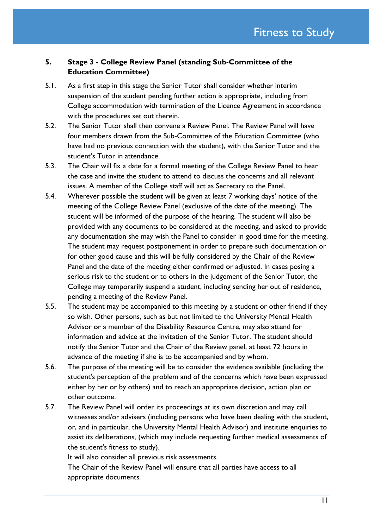### **5. Stage 3 - College Review Panel (standing Sub-Committee of the Education Committee)**

- 5.1. As a first step in this stage the Senior Tutor shall consider whether interim suspension of the student pending further action is appropriate, including from College accommodation with termination of the Licence Agreement in accordance with the procedures set out therein.
- 5.2. The Senior Tutor shall then convene a Review Panel. The Review Panel will have four members drawn from the Sub-Committee of the Education Committee (who have had no previous connection with the student), with the Senior Tutor and the student's Tutor in attendance.
- 5.3. The Chair will fix a date for a formal meeting of the College Review Panel to hear the case and invite the student to attend to discuss the concerns and all relevant issues. A member of the College staff will act as Secretary to the Panel.
- 5.4. Wherever possible the student will be given at least 7 working days' notice of the meeting of the College Review Panel (exclusive of the date of the meeting). The student will be informed of the purpose of the hearing. The student will also be provided with any documents to be considered at the meeting, and asked to provide any documentation she may wish the Panel to consider in good time for the meeting. The student may request postponement in order to prepare such documentation or for other good cause and this will be fully considered by the Chair of the Review Panel and the date of the meeting either confirmed or adjusted. In cases posing a serious risk to the student or to others in the judgement of the Senior Tutor, the College may temporarily suspend a student, including sending her out of residence, pending a meeting of the Review Panel.
- 5.5. The student may be accompanied to this meeting by a student or other friend if they so wish. Other persons, such as but not limited to the University Mental Health Advisor or a member of the Disability Resource Centre, may also attend for information and advice at the invitation of the Senior Tutor. The student should notify the Senior Tutor and the Chair of the Review panel, at least 72 hours in advance of the meeting if she is to be accompanied and by whom.
- 5.6. The purpose of the meeting will be to consider the evidence available (including the student's perception of the problem and of the concerns which have been expressed either by her or by others) and to reach an appropriate decision, action plan or other outcome.
- 5.7. The Review Panel will order its proceedings at its own discretion and may call witnesses and/or advisers (including persons who have been dealing with the student, or, and in particular, the University Mental Health Advisor) and institute enquiries to assist its deliberations, (which may include requesting further medical assessments of the student's fitness to study).

It will also consider all previous risk assessments.

The Chair of the Review Panel will ensure that all parties have access to all appropriate documents.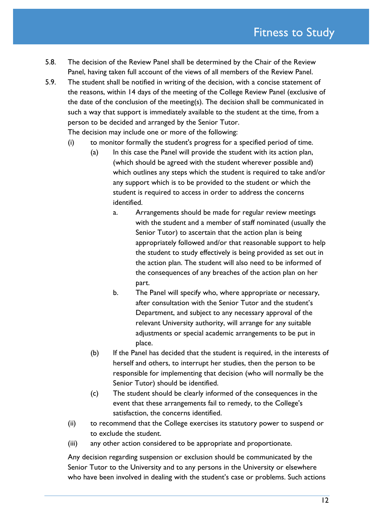- 5.8. The decision of the Review Panel shall be determined by the Chair of the Review Panel, having taken full account of the views of all members of the Review Panel.
- 5.9. The student shall be notified in writing of the decision, with a concise statement of the reasons, within 14 days of the meeting of the College Review Panel (exclusive of the date of the conclusion of the meeting(s). The decision shall be communicated in such a way that support is immediately available to the student at the time, from a person to be decided and arranged by the Senior Tutor. The decision may include one or more of the following:
	- (i) to monitor formally the student's progress for a specified period of time.
		- (a) In this case the Panel will provide the student with its action plan, (which should be agreed with the student wherever possible and) which outlines any steps which the student is required to take and/or any support which is to be provided to the student or which the student is required to access in order to address the concerns identified.
			- a. Arrangements should be made for regular review meetings with the student and a member of staff nominated (usually the Senior Tutor) to ascertain that the action plan is being appropriately followed and/or that reasonable support to help the student to study effectively is being provided as set out in the action plan. The student will also need to be informed of the consequences of any breaches of the action plan on her part.
			- b. The Panel will specify who, where appropriate or necessary, after consultation with the Senior Tutor and the student's Department, and subject to any necessary approval of the relevant University authority, will arrange for any suitable adjustments or special academic arrangements to be put in place.
		- (b) If the Panel has decided that the student is required, in the interests of herself and others, to interrupt her studies, then the person to be responsible for implementing that decision (who will normally be the Senior Tutor) should be identified.
		- (c) The student should be clearly informed of the consequences in the event that these arrangements fail to remedy, to the College's satisfaction, the concerns identified.
	- (ii) to recommend that the College exercises its statutory power to suspend or to exclude the student.
	- (iii) any other action considered to be appropriate and proportionate.

Any decision regarding suspension or exclusion should be communicated by the Senior Tutor to the University and to any persons in the University or elsewhere who have been involved in dealing with the student's case or problems. Such actions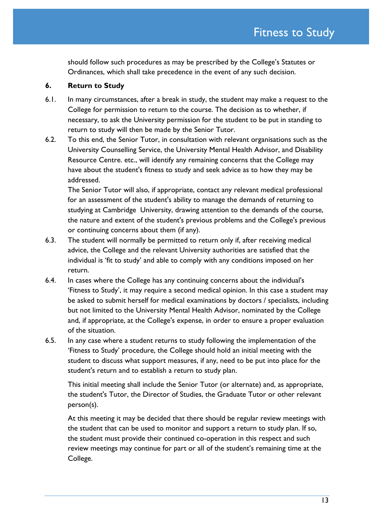should follow such procedures as may be prescribed by the College's Statutes or Ordinances, which shall take precedence in the event of any such decision.

#### **6. Return to Study**

- 6.1. In many circumstances, after a break in study, the student may make a request to the College for permission to return to the course. The decision as to whether, if necessary, to ask the University permission for the student to be put in standing to return to study will then be made by the Senior Tutor.
- 6.2. To this end, the Senior Tutor, in consultation with relevant organisations such as the University Counselling Service, the University Mental Health Advisor, and Disability Resource Centre. etc., will identify any remaining concerns that the College may have about the student's fitness to study and seek advice as to how they may be addressed.

The Senior Tutor will also, if appropriate, contact any relevant medical professional for an assessment of the student's ability to manage the demands of returning to studying at Cambridge University, drawing attention to the demands of the course, the nature and extent of the student's previous problems and the College's previous or continuing concerns about them (if any).

- 6.3. The student will normally be permitted to return only if, after receiving medical advice, the College and the relevant University authorities are satisfied that the individual is 'fit to study' and able to comply with any conditions imposed on her return.
- 6.4. In cases where the College has any continuing concerns about the individual's 'Fitness to Study', it may require a second medical opinion. In this case a student may be asked to submit herself for medical examinations by doctors / specialists, including but not limited to the University Mental Health Advisor, nominated by the College and, if appropriate, at the College's expense, in order to ensure a proper evaluation of the situation.
- 6.5. In any case where a student returns to study following the implementation of the 'Fitness to Study' procedure, the College should hold an initial meeting with the student to discuss what support measures, if any, need to be put into place for the student's return and to establish a return to study plan.

This initial meeting shall include the Senior Tutor (or alternate) and, as appropriate, the student's Tutor, the Director of Studies, the Graduate Tutor or other relevant person(s).

At this meeting it may be decided that there should be regular review meetings with the student that can be used to monitor and support a return to study plan. If so, the student must provide their continued co-operation in this respect and such review meetings may continue for part or all of the student's remaining time at the College.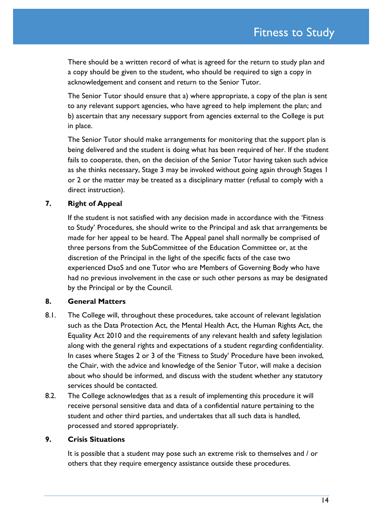There should be a written record of what is agreed for the return to study plan and a copy should be given to the student, who should be required to sign a copy in acknowledgement and consent and return to the Senior Tutor.

The Senior Tutor should ensure that a) where appropriate, a copy of the plan is sent to any relevant support agencies, who have agreed to help implement the plan; and b) ascertain that any necessary support from agencies external to the College is put in place.

The Senior Tutor should make arrangements for monitoring that the support plan is being delivered and the student is doing what has been required of her. If the student fails to cooperate, then, on the decision of the Senior Tutor having taken such advice as she thinks necessary, Stage 3 may be invoked without going again through Stages 1 or 2 or the matter may be treated as a disciplinary matter (refusal to comply with a direct instruction).

#### **7. Right of Appeal**

If the student is not satisfied with any decision made in accordance with the 'Fitness to Study' Procedures, she should write to the Principal and ask that arrangements be made for her appeal to be heard. The Appeal panel shall normally be comprised of three persons from the SubCommittee of the Education Committee or, at the discretion of the Principal in the light of the specific facts of the case two experienced DsoS and one Tutor who are Members of Governing Body who have had no previous involvement in the case or such other persons as may be designated by the Principal or by the Council.

#### **8. General Matters**

- 8.1. The College will, throughout these procedures, take account of relevant legislation such as the Data Protection Act, the Mental Health Act, the Human Rights Act, the Equality Act 2010 and the requirements of any relevant health and safety legislation along with the general rights and expectations of a student regarding confidentiality. In cases where Stages 2 or 3 of the 'Fitness to Study' Procedure have been invoked, the Chair, with the advice and knowledge of the Senior Tutor, will make a decision about who should be informed, and discuss with the student whether any statutory services should be contacted.
- 8.2. The College acknowledges that as a result of implementing this procedure it will receive personal sensitive data and data of a confidential nature pertaining to the student and other third parties, and undertakes that all such data is handled, processed and stored appropriately.

### **9. Crisis Situations**

It is possible that a student may pose such an extreme risk to themselves and / or others that they require emergency assistance outside these procedures.